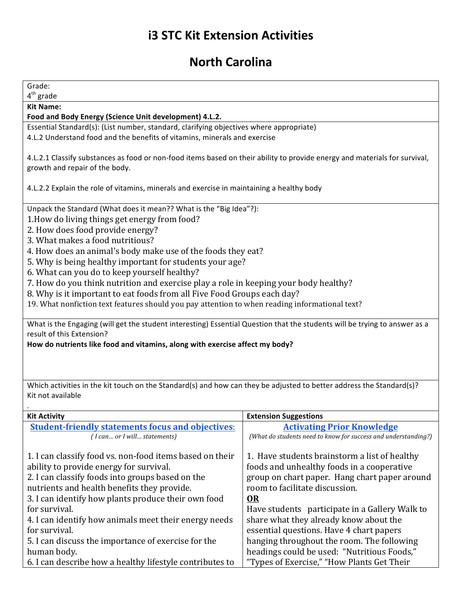## **i3 STC Kit Extension Activities**

## **North Carolina**

| Grade:<br>$4th$ grade                                                                                                      |                                                                                                     |  |
|----------------------------------------------------------------------------------------------------------------------------|-----------------------------------------------------------------------------------------------------|--|
| <b>Kit Name:</b>                                                                                                           |                                                                                                     |  |
| Food and Body Energy (Science Unit development) 4.L.2.                                                                     |                                                                                                     |  |
| Essential Standard(s): (List number, standard, clarifying objectives where appropriate)                                    |                                                                                                     |  |
| 4.L.2 Understand food and the benefits of vitamins, minerals and exercise                                                  |                                                                                                     |  |
|                                                                                                                            |                                                                                                     |  |
| 4.L.2.1 Classify substances as food or non-food items based on their ability to provide energy and materials for survival, |                                                                                                     |  |
| growth and repair of the body.                                                                                             |                                                                                                     |  |
| 4.L.2.2 Explain the role of vitamins, minerals and exercise in maintaining a healthy body                                  |                                                                                                     |  |
|                                                                                                                            |                                                                                                     |  |
| Unpack the Standard (What does it mean?? What is the "Big Idea"?):                                                         |                                                                                                     |  |
| 1. How do living things get energy from food?                                                                              |                                                                                                     |  |
| 2. How does food provide energy?                                                                                           |                                                                                                     |  |
| 3. What makes a food nutritious?                                                                                           |                                                                                                     |  |
| 4. How does an animal's body make use of the foods they eat?                                                               |                                                                                                     |  |
| 5. Why is being healthy important for students your age?                                                                   |                                                                                                     |  |
| 6. What can you do to keep yourself healthy?                                                                               |                                                                                                     |  |
| 7. How do you think nutrition and exercise play a role in keeping your body healthy?                                       |                                                                                                     |  |
| 8. Why is it important to eat foods from all Five Food Groups each day?                                                    |                                                                                                     |  |
| 19. What nonfiction text features should you pay attention to when reading informational text?                             |                                                                                                     |  |
| What is the Engaging (will get the student interesting) Essential Question that the students will be trying to answer as a |                                                                                                     |  |
| result of this Extension?                                                                                                  |                                                                                                     |  |
| How do nutrients like food and vitamins, along with exercise affect my body?                                               |                                                                                                     |  |
|                                                                                                                            |                                                                                                     |  |
|                                                                                                                            |                                                                                                     |  |
|                                                                                                                            |                                                                                                     |  |
| Which activities in the kit touch on the Standard(s) and how can they be adjusted to better address the Standard(s)?       |                                                                                                     |  |
| Kit not available                                                                                                          |                                                                                                     |  |
|                                                                                                                            |                                                                                                     |  |
| <b>Kit Activity</b>                                                                                                        | <b>Extension Suggestions</b>                                                                        |  |
| <b>Student-friendly statements focus and objectives:</b><br>(I can or I will statements)                                   | <b>Activating Prior Knowledge</b><br>(What do students need to know for success and understanding?) |  |
|                                                                                                                            |                                                                                                     |  |
| 1. I can classify food vs. non-food items based on their                                                                   | 1. Have students brainstorm a list of healthy                                                       |  |
| ability to provide energy for survival.                                                                                    | foods and unhealthy foods in a cooperative                                                          |  |
| 2. I can classify foods into groups based on the                                                                           | group on chart paper. Hang chart paper around                                                       |  |
| nutrients and health benefits they provide.                                                                                | room to facilitate discussion.                                                                      |  |
| 3. I can identify how plants produce their own food                                                                        | <b>OR</b>                                                                                           |  |
| for survival.                                                                                                              | Have students participate in a Gallery Walk to                                                      |  |
| 4. I can identify how animals meet their energy needs                                                                      | share what they already know about the                                                              |  |
| for survival.                                                                                                              | essential questions. Have 4 chart papers                                                            |  |
| 5. I can discuss the importance of exercise for the                                                                        | hanging throughout the room. The following                                                          |  |
| human body.                                                                                                                | headings could be used: "Nutritious Foods,"                                                         |  |
| 6. I can describe how a healthy lifestyle contributes to                                                                   | "Types of Exercise," "How Plants Get Their                                                          |  |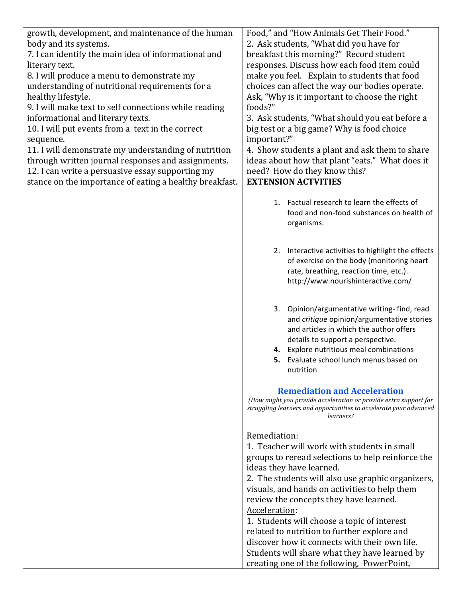| growth, development, and maintenance of the human       | Food," and "How Animals Get Their Food."                                       |
|---------------------------------------------------------|--------------------------------------------------------------------------------|
| body and its systems.                                   | 2. Ask students, "What did you have for                                        |
| 7. I can identify the main idea of informational and    | breakfast this morning?" Record student                                        |
| literary text.                                          | responses. Discuss how each food item could                                    |
| 8. I will produce a menu to demonstrate my              | make you feel. Explain to students that food                                   |
| understanding of nutritional requirements for a         | choices can affect the way our bodies operate.                                 |
| healthy lifestyle.                                      | Ask, "Why is it important to choose the right                                  |
| 9. I will make text to self connections while reading   | foods?"                                                                        |
| informational and literary texts.                       | 3. Ask students, "What should you eat before a                                 |
| 10. I will put events from a text in the correct        | big test or a big game? Why is food choice                                     |
|                                                         | important?"                                                                    |
| sequence.                                               |                                                                                |
| 11. I will demonstrate my understanding of nutrition    | 4. Show students a plant and ask them to share                                 |
| through written journal responses and assignments.      | ideas about how that plant "eats." What does it                                |
| 12. I can write a persuasive essay supporting my        | need? How do they know this?                                                   |
| stance on the importance of eating a healthy breakfast. | <b>EXTENSION ACTVITIES</b>                                                     |
|                                                         |                                                                                |
|                                                         | 1. Factual research to learn the effects of                                    |
|                                                         | food and non-food substances on health of                                      |
|                                                         | organisms.                                                                     |
|                                                         |                                                                                |
|                                                         | 2. Interactive activities to highlight the effects                             |
|                                                         | of exercise on the body (monitoring heart                                      |
|                                                         | rate, breathing, reaction time, etc.).                                         |
|                                                         | http://www.nourishinteractive.com/                                             |
|                                                         |                                                                                |
|                                                         |                                                                                |
|                                                         | 3. Opinion/argumentative writing-find, read                                    |
|                                                         | and critique opinion/argumentative stories                                     |
|                                                         | and articles in which the author offers                                        |
|                                                         | details to support a perspective.                                              |
|                                                         | 4. Explore nutritious meal combinations                                        |
|                                                         | 5. Evaluate school lunch menus based on                                        |
|                                                         | nutrition                                                                      |
|                                                         |                                                                                |
|                                                         | <b>Remediation and Acceleration</b>                                            |
|                                                         | (How might you provide acceleration or provide extra support for               |
|                                                         | struggling learners and opportunities to accelerate your advanced<br>learners? |
|                                                         |                                                                                |
|                                                         | Remediation:                                                                   |
|                                                         | 1. Teacher will work with students in small                                    |
|                                                         | groups to reread selections to help reinforce the                              |
|                                                         | ideas they have learned.                                                       |
|                                                         | 2. The students will also use graphic organizers,                              |
|                                                         | visuals, and hands on activities to help them                                  |
|                                                         | review the concepts they have learned.                                         |
|                                                         | Acceleration:                                                                  |
|                                                         |                                                                                |
|                                                         | 1. Students will choose a topic of interest                                    |
|                                                         | related to nutrition to further explore and                                    |
|                                                         | discover how it connects with their own life.                                  |
|                                                         | Students will share what they have learned by                                  |
|                                                         | creating one of the following, PowerPoint,                                     |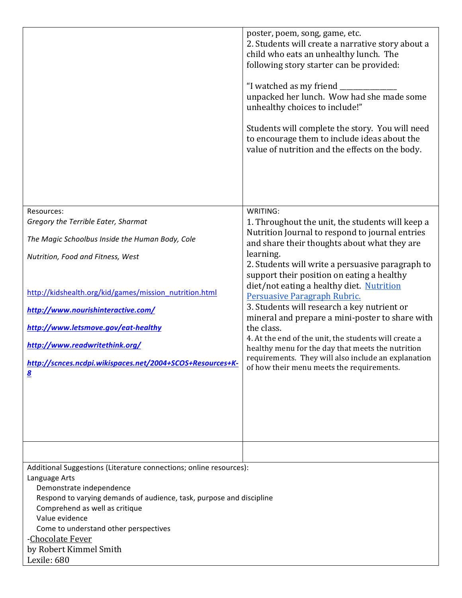|                                                                                                                                                                                                                                                                                                                                                                                                                    | poster, poem, song, game, etc.<br>2. Students will create a narrative story about a<br>child who eats an unhealthy lunch. The<br>following story starter can be provided:<br>"I watched as my friend _<br>unpacked her lunch. Wow had she made some<br>unhealthy choices to include!"<br>Students will complete the story. You will need<br>to encourage them to include ideas about the<br>value of nutrition and the effects on the body.                                                                                                                                                                                                                                                   |  |
|--------------------------------------------------------------------------------------------------------------------------------------------------------------------------------------------------------------------------------------------------------------------------------------------------------------------------------------------------------------------------------------------------------------------|-----------------------------------------------------------------------------------------------------------------------------------------------------------------------------------------------------------------------------------------------------------------------------------------------------------------------------------------------------------------------------------------------------------------------------------------------------------------------------------------------------------------------------------------------------------------------------------------------------------------------------------------------------------------------------------------------|--|
| Resources:<br>Gregory the Terrible Eater, Sharmat<br>The Magic Schoolbus Inside the Human Body, Cole<br>Nutrition, Food and Fitness, West<br>http://kidshealth.org/kid/games/mission_nutrition.html<br>http://www.nourishinteractive.com/<br>http://www.letsmove.gov/eat-healthy<br>http://www.readwritethink.org/<br>http://scnces.ncdpi.wikispaces.net/2004+SCOS+Resources+K-<br>$\underline{\underline{\bf 8}}$ | WRITING:<br>1. Throughout the unit, the students will keep a<br>Nutrition Journal to respond to journal entries<br>and share their thoughts about what they are<br>learning.<br>2. Students will write a persuasive paragraph to<br>support their position on eating a healthy<br>diet/not eating a healthy diet. Nutrition<br>Persuasive Paragraph Rubric.<br>3. Students will research a key nutrient or<br>mineral and prepare a mini-poster to share with<br>the class.<br>4. At the end of the unit, the students will create a<br>healthy menu for the day that meets the nutrition<br>requirements. They will also include an explanation<br>of how their menu meets the requirements. |  |
| Additional Suggestions (Literature connections; online resources):<br>Language Arts<br>Demonstrate independence<br>Respond to varying demands of audience, task, purpose and discipline<br>Comprehend as well as critique<br>Value evidence<br>Come to understand other perspectives<br>-Chocolate Fever<br>by Robert Kimmel Smith<br>Lexile: 680                                                                  |                                                                                                                                                                                                                                                                                                                                                                                                                                                                                                                                                                                                                                                                                               |  |